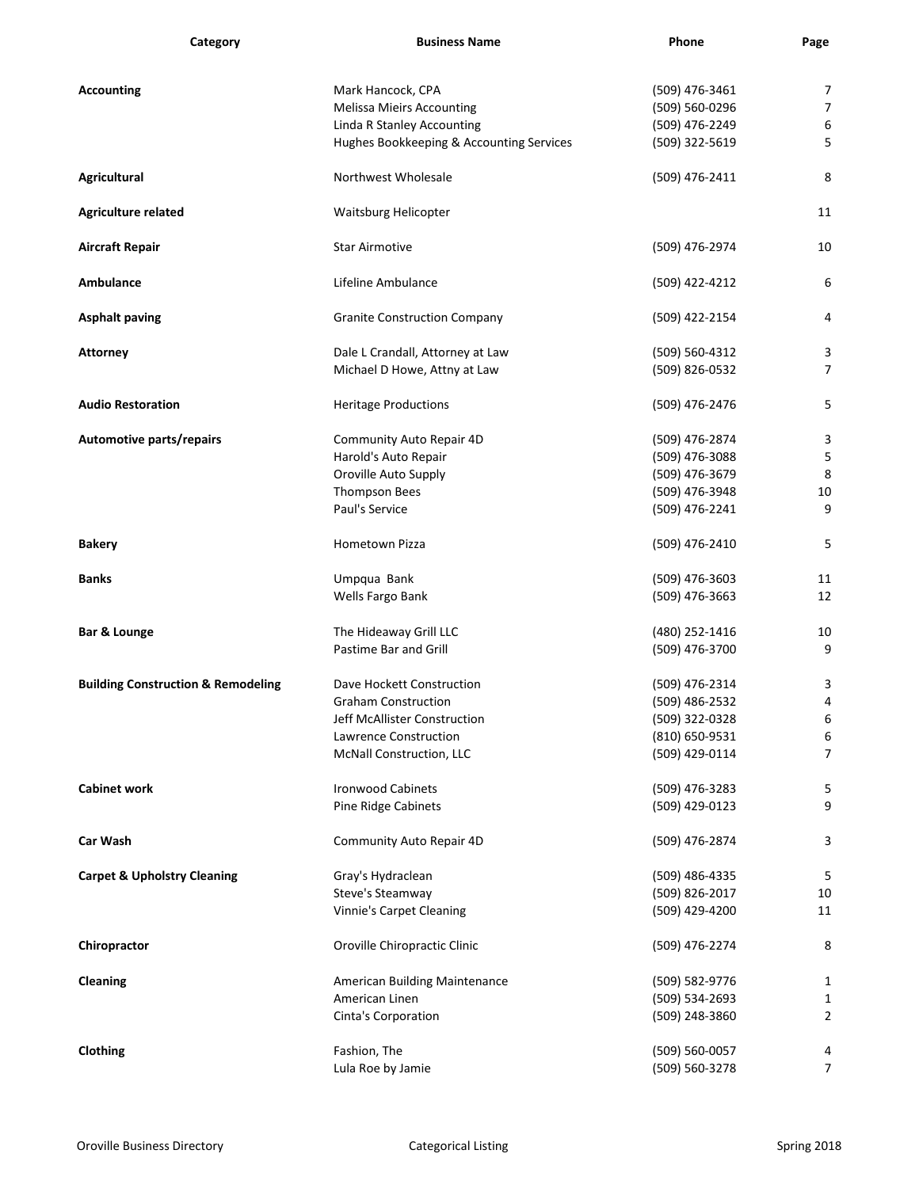| Category                                      | <b>Business Name</b>                     | Phone          | Page           |
|-----------------------------------------------|------------------------------------------|----------------|----------------|
| <b>Accounting</b>                             | Mark Hancock, CPA                        | (509) 476-3461 | $\overline{7}$ |
|                                               | <b>Melissa Mieirs Accounting</b>         | (509) 560-0296 | $\overline{7}$ |
|                                               | <b>Linda R Stanley Accounting</b>        | (509) 476-2249 | 6              |
|                                               | Hughes Bookkeeping & Accounting Services | (509) 322-5619 | 5              |
| <b>Agricultural</b>                           | Northwest Wholesale                      | (509) 476-2411 | 8              |
| <b>Agriculture related</b>                    | Waitsburg Helicopter                     |                | 11             |
| <b>Aircraft Repair</b>                        | <b>Star Airmotive</b>                    | (509) 476-2974 | 10             |
| <b>Ambulance</b>                              | Lifeline Ambulance                       | (509) 422-4212 | 6              |
| <b>Asphalt paving</b>                         | <b>Granite Construction Company</b>      | (509) 422-2154 | 4              |
| <b>Attorney</b>                               | Dale L Crandall, Attorney at Law         | (509) 560-4312 | 3              |
|                                               | Michael D Howe, Attny at Law             | (509) 826-0532 | $\overline{7}$ |
| <b>Audio Restoration</b>                      | <b>Heritage Productions</b>              | (509) 476-2476 | 5              |
| Automotive parts/repairs                      | Community Auto Repair 4D                 | (509) 476-2874 | 3              |
|                                               | Harold's Auto Repair                     | (509) 476-3088 | 5              |
|                                               | Oroville Auto Supply                     | (509) 476-3679 | $\,8\,$        |
|                                               | Thompson Bees                            | (509) 476-3948 | 10             |
|                                               | Paul's Service                           | (509) 476-2241 | 9              |
| <b>Bakery</b>                                 | Hometown Pizza                           | (509) 476-2410 | 5              |
| <b>Banks</b>                                  | Umpqua Bank                              | (509) 476-3603 | 11             |
|                                               | Wells Fargo Bank                         | (509) 476-3663 | 12             |
| <b>Bar &amp; Lounge</b>                       | The Hideaway Grill LLC                   | (480) 252-1416 | 10             |
|                                               | Pastime Bar and Grill                    | (509) 476-3700 | 9              |
| <b>Building Construction &amp; Remodeling</b> | Dave Hockett Construction                | (509) 476-2314 | 3              |
|                                               | <b>Graham Construction</b>               | (509) 486-2532 | 4              |
|                                               | Jeff McAllister Construction             | (509) 322-0328 | 6              |
|                                               | Lawrence Construction                    | (810) 650-9531 | 6              |
|                                               | McNall Construction, LLC                 | (509) 429-0114 | $\overline{7}$ |
| <b>Cabinet work</b>                           | <b>Ironwood Cabinets</b>                 | (509) 476-3283 | 5              |
|                                               | Pine Ridge Cabinets                      | (509) 429-0123 | 9              |
| <b>Car Wash</b>                               | <b>Community Auto Repair 4D</b>          | (509) 476-2874 | 3              |
| <b>Carpet &amp; Upholstry Cleaning</b>        | Gray's Hydraclean                        | (509) 486-4335 | 5              |
|                                               | Steve's Steamway                         | (509) 826-2017 | 10             |
|                                               | <b>Vinnie's Carpet Cleaning</b>          | (509) 429-4200 | 11             |
| Chiropractor                                  | Oroville Chiropractic Clinic             | (509) 476-2274 | 8              |
| <b>Cleaning</b>                               | American Building Maintenance            | (509) 582-9776 | 1              |
|                                               | American Linen                           | (509) 534-2693 | $\mathbf{1}$   |
|                                               | Cinta's Corporation                      | (509) 248-3860 | 2              |
| <b>Clothing</b>                               | Fashion, The                             | (509) 560-0057 | 4              |
|                                               | Lula Roe by Jamie                        | (509) 560-3278 | $\overline{7}$ |
|                                               |                                          |                |                |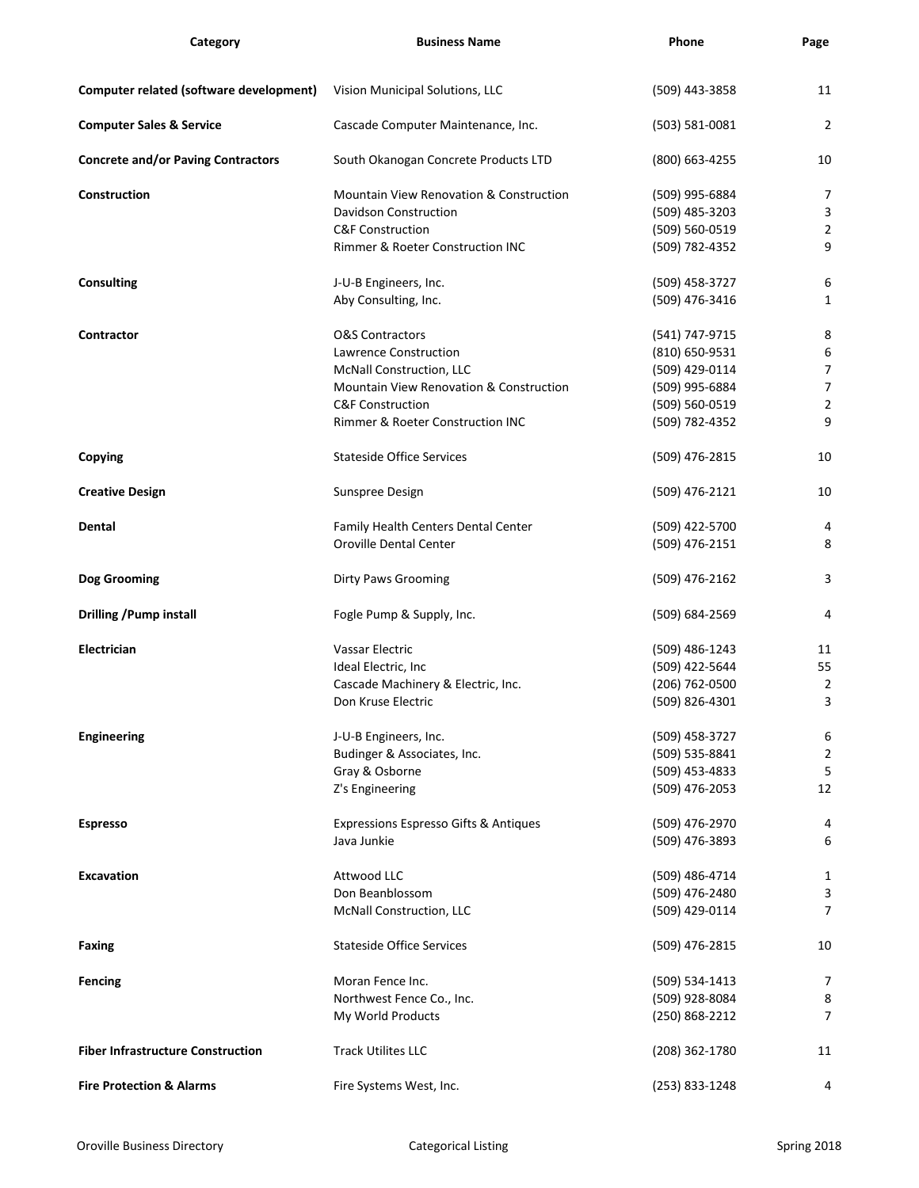| Category                                  | <b>Business Name</b>                               | Phone              | Page           |
|-------------------------------------------|----------------------------------------------------|--------------------|----------------|
| Computer related (software development)   |                                                    |                    | 11             |
|                                           | Vision Municipal Solutions, LLC                    | (509) 443-3858     |                |
| <b>Computer Sales &amp; Service</b>       | Cascade Computer Maintenance, Inc.                 | $(503) 581 - 0081$ | $\overline{2}$ |
| <b>Concrete and/or Paving Contractors</b> | South Okanogan Concrete Products LTD               | (800) 663-4255     | 10             |
| Construction                              | <b>Mountain View Renovation &amp; Construction</b> | (509) 995-6884     | 7              |
|                                           | <b>Davidson Construction</b>                       | $(509)$ 485-3203   | 3              |
|                                           | <b>C&amp;F Construction</b>                        | (509) 560-0519     | 2              |
|                                           | Rimmer & Roeter Construction INC                   | (509) 782-4352     | 9              |
| <b>Consulting</b>                         | J-U-B Engineers, Inc.                              | (509) 458-3727     | 6              |
|                                           | Aby Consulting, Inc.                               | (509) 476-3416     | 1              |
| <b>Contractor</b>                         | <b>O&amp;S Contractors</b>                         | (541) 747-9715     | 8              |
|                                           | <b>Lawrence Construction</b>                       | (810) 650-9531     | 6              |
|                                           | McNall Construction, LLC                           | (509) 429-0114     | 7              |
|                                           | Mountain View Renovation & Construction            | (509) 995-6884     | $\overline{7}$ |
|                                           | <b>C&amp;F Construction</b>                        | (509) 560-0519     | $\overline{2}$ |
|                                           | Rimmer & Roeter Construction INC                   | (509) 782-4352     | 9              |
| <b>Copying</b>                            | <b>Stateside Office Services</b>                   | (509) 476-2815     | 10             |
| <b>Creative Design</b>                    | Sunspree Design                                    | (509) 476-2121     | 10             |
| Dental                                    | Family Health Centers Dental Center                | (509) 422-5700     | 4              |
|                                           | <b>Oroville Dental Center</b>                      | (509) 476-2151     | 8              |
|                                           |                                                    |                    |                |
| Dog Grooming                              | <b>Dirty Paws Grooming</b>                         | (509) 476-2162     | 3              |
| <b>Drilling /Pump install</b>             | Fogle Pump & Supply, Inc.                          | (509) 684-2569     | 4              |
| Electrician                               | <b>Vassar Electric</b>                             | (509) 486-1243     | 11             |
|                                           | Ideal Electric, Inc                                | (509) 422-5644     | 55             |
|                                           | Cascade Machinery & Electric, Inc.                 | $(206)$ 762-0500   | $\overline{2}$ |
|                                           | Don Kruse Electric                                 | (509) 826-4301     | 3              |
| <b>Engineering</b>                        | J-U-B Engineers, Inc.                              | (509) 458-3727     | 6              |
|                                           | Budinger & Associates, Inc.                        | (509) 535-8841     | 2              |
|                                           | Gray & Osborne                                     | (509) 453-4833     | 5              |
|                                           | Z's Engineering                                    | (509) 476-2053     | 12             |
| <b>Espresso</b>                           | Expressions Espresso Gifts & Antiques              | (509) 476-2970     | 4              |
|                                           | Java Junkie                                        | (509) 476-3893     | 6              |
| <b>Excavation</b>                         | Attwood LLC                                        | (509) 486-4714     | 1              |
|                                           | Don Beanblossom                                    | (509) 476-2480     | 3              |
|                                           | McNall Construction, LLC                           | (509) 429-0114     | $\overline{7}$ |
|                                           |                                                    |                    |                |
| <b>Faxing</b>                             | <b>Stateside Office Services</b>                   | (509) 476-2815     | 10             |
| <b>Fencing</b>                            | Moran Fence Inc.                                   | (509) 534-1413     | $\overline{7}$ |
|                                           | Northwest Fence Co., Inc.                          | (509) 928-8084     | 8              |
|                                           | My World Products                                  | (250) 868-2212     | $\overline{7}$ |
| <b>Fiber Infrastructure Construction</b>  | <b>Track Utilites LLC</b>                          | (208) 362-1780     | 11             |
| <b>Fire Protection &amp; Alarms</b>       | Fire Systems West, Inc.                            | (253) 833-1248     | 4              |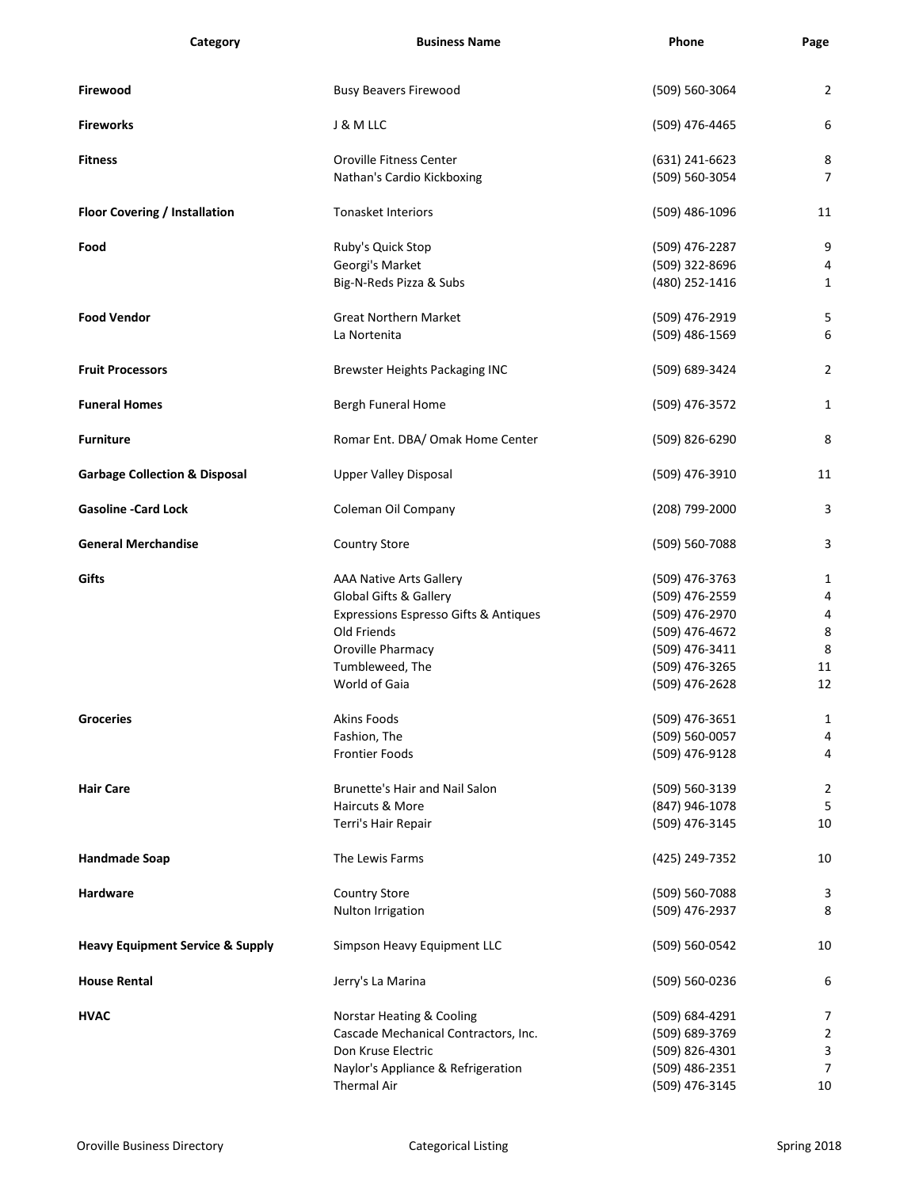| Category                                    | <b>Business Name</b>                  | Phone            | Page           |
|---------------------------------------------|---------------------------------------|------------------|----------------|
| Firewood                                    | <b>Busy Beavers Firewood</b>          | (509) 560-3064   | $\overline{2}$ |
| <b>Fireworks</b>                            | J & M LLC                             | (509) 476-4465   | 6              |
| <b>Fitness</b>                              | Oroville Fitness Center               | $(631)$ 241-6623 | 8              |
|                                             | Nathan's Cardio Kickboxing            | (509) 560-3054   | 7              |
| <b>Floor Covering / Installation</b>        | <b>Tonasket Interiors</b>             | (509) 486-1096   | 11             |
| Food                                        | Ruby's Quick Stop                     | (509) 476-2287   | 9              |
|                                             | Georgi's Market                       | (509) 322-8696   | 4              |
|                                             | Big-N-Reds Pizza & Subs               | (480) 252-1416   | $\mathbf{1}$   |
| <b>Food Vendor</b>                          | <b>Great Northern Market</b>          | (509) 476-2919   | 5              |
|                                             | La Nortenita                          | (509) 486-1569   | 6              |
|                                             |                                       |                  |                |
| <b>Fruit Processors</b>                     | <b>Brewster Heights Packaging INC</b> | (509) 689-3424   | $\overline{2}$ |
| <b>Funeral Homes</b>                        | <b>Bergh Funeral Home</b>             | (509) 476-3572   | $\mathbf{1}$   |
| <b>Furniture</b>                            | Romar Ent. DBA/ Omak Home Center      | (509) 826-6290   | 8              |
| <b>Garbage Collection &amp; Disposal</b>    | <b>Upper Valley Disposal</b>          | (509) 476-3910   | 11             |
| <b>Gasoline -Card Lock</b>                  | Coleman Oil Company                   | (208) 799-2000   | 3              |
| <b>General Merchandise</b>                  | <b>Country Store</b>                  | (509) 560-7088   | 3              |
| Gifts                                       | <b>AAA Native Arts Gallery</b>        | (509) 476-3763   | 1              |
|                                             | <b>Global Gifts &amp; Gallery</b>     | (509) 476-2559   | 4              |
|                                             | Expressions Espresso Gifts & Antiques | (509) 476-2970   | 4              |
|                                             | Old Friends                           | (509) 476-4672   | 8              |
|                                             | Oroville Pharmacy                     | (509) 476-3411   | $\,8\,$        |
|                                             | Tumbleweed, The                       | (509) 476-3265   | 11             |
|                                             | World of Gaia                         | (509) 476-2628   | 12             |
| <b>Groceries</b>                            | <b>Akins Foods</b>                    | (509) 476-3651   | 1              |
|                                             | Fashion, The                          | (509) 560-0057   | 4              |
|                                             | <b>Frontier Foods</b>                 | (509) 476-9128   | 4              |
| <b>Hair Care</b>                            | Brunette's Hair and Nail Salon        | (509) 560-3139   | 2              |
|                                             | Haircuts & More                       | (847) 946-1078   | 5              |
|                                             | Terri's Hair Repair                   | (509) 476-3145   | 10             |
| <b>Handmade Soap</b>                        | The Lewis Farms                       | (425) 249-7352   | 10             |
| <b>Hardware</b>                             | <b>Country Store</b>                  | (509) 560-7088   | 3              |
|                                             | Nulton Irrigation                     | (509) 476-2937   | 8              |
| <b>Heavy Equipment Service &amp; Supply</b> | Simpson Heavy Equipment LLC           | (509) 560-0542   | 10             |
| <b>House Rental</b>                         | Jerry's La Marina                     | (509) 560-0236   | 6              |
| <b>HVAC</b>                                 | <b>Norstar Heating &amp; Cooling</b>  | (509) 684-4291   | 7              |
|                                             | Cascade Mechanical Contractors, Inc.  | (509) 689-3769   | $\overline{2}$ |
|                                             | Don Kruse Electric                    | (509) 826-4301   | 3              |
|                                             | Naylor's Appliance & Refrigeration    | (509) 486-2351   | $\overline{7}$ |
|                                             | <b>Thermal Air</b>                    | (509) 476-3145   | 10             |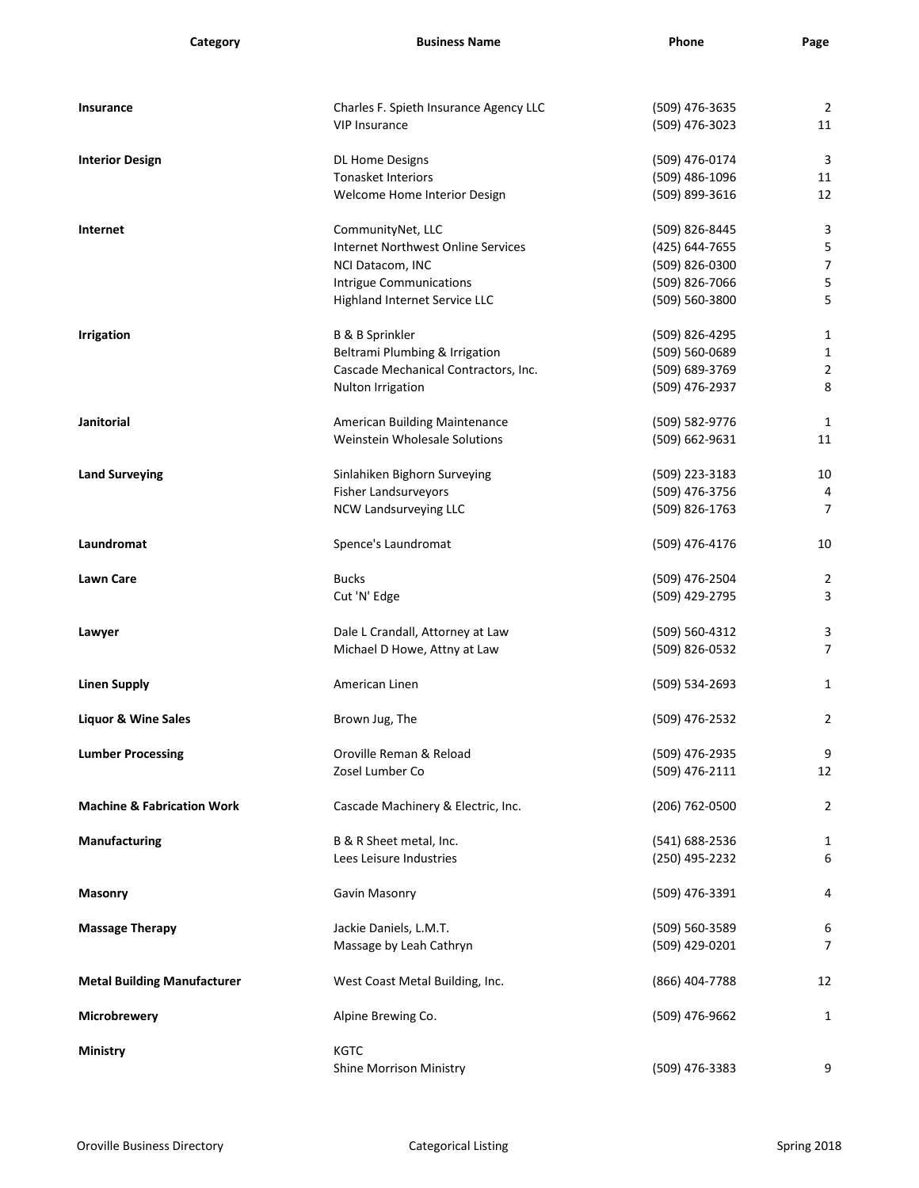| Category                              | <b>Business Name</b>                      | Phone          | Page                    |
|---------------------------------------|-------------------------------------------|----------------|-------------------------|
|                                       |                                           |                |                         |
| <b>Insurance</b>                      | Charles F. Spieth Insurance Agency LLC    | (509) 476-3635 | $\overline{c}$          |
|                                       | <b>VIP Insurance</b>                      | (509) 476-3023 | 11                      |
| <b>Interior Design</b>                | <b>DL Home Designs</b>                    | (509) 476-0174 | 3                       |
|                                       | <b>Tonasket Interiors</b>                 | (509) 486-1096 | 11                      |
|                                       | Welcome Home Interior Design              | (509) 899-3616 | 12                      |
| Internet                              | CommunityNet, LLC                         | (509) 826-8445 | 3                       |
|                                       | <b>Internet Northwest Online Services</b> | (425) 644-7655 | 5                       |
|                                       | NCI Datacom, INC                          | (509) 826-0300 | 7                       |
|                                       | <b>Intrigue Communications</b>            | (509) 826-7066 | 5                       |
|                                       | Highland Internet Service LLC             | (509) 560-3800 | 5                       |
| <b>Irrigation</b>                     | <b>B &amp; B Sprinkler</b>                | (509) 826-4295 | $\mathbf{1}$            |
|                                       | Beltrami Plumbing & Irrigation            | (509) 560-0689 | $\mathbf{1}$            |
|                                       | Cascade Mechanical Contractors, Inc.      | (509) 689-3769 | $\overline{\mathbf{c}}$ |
|                                       | Nulton Irrigation                         | (509) 476-2937 | 8                       |
| <b>Janitorial</b>                     | <b>American Building Maintenance</b>      | (509) 582-9776 | $\mathbf{1}$            |
|                                       | Weinstein Wholesale Solutions             | (509) 662-9631 | 11                      |
| <b>Land Surveying</b>                 | Sinlahiken Bighorn Surveying              | (509) 223-3183 | 10                      |
|                                       | <b>Fisher Landsurveyors</b>               | (509) 476-3756 | 4                       |
|                                       | NCW Landsurveying LLC                     | (509) 826-1763 | 7                       |
| Laundromat                            | Spence's Laundromat                       | (509) 476-4176 | 10                      |
| <b>Lawn Care</b>                      | <b>Bucks</b>                              | (509) 476-2504 | $\overline{c}$          |
|                                       | Cut 'N' Edge                              | (509) 429-2795 | 3                       |
| Lawyer                                | Dale L Crandall, Attorney at Law          | (509) 560-4312 | 3                       |
|                                       | Michael D Howe, Attny at Law              | (509) 826-0532 | 7                       |
|                                       |                                           |                |                         |
| <b>Linen Supply</b>                   | American Linen                            | (509) 534-2693 | $\mathbf{1}$            |
| <b>Liquor &amp; Wine Sales</b>        | Brown Jug, The                            | (509) 476-2532 | $\overline{\mathbf{c}}$ |
| <b>Lumber Processing</b>              | Oroville Reman & Reload                   | (509) 476-2935 | 9                       |
|                                       | Zosel Lumber Co                           | (509) 476-2111 | 12                      |
|                                       |                                           |                |                         |
| <b>Machine &amp; Fabrication Work</b> | Cascade Machinery & Electric, Inc.        | (206) 762-0500 | $\overline{c}$          |
| <b>Manufacturing</b>                  | B & R Sheet metal, Inc.                   | (541) 688-2536 | $\mathbf{1}$            |
|                                       | Lees Leisure Industries                   | (250) 495-2232 | 6                       |
| <b>Masonry</b>                        | Gavin Masonry                             | (509) 476-3391 | 4                       |
| <b>Massage Therapy</b>                | Jackie Daniels, L.M.T.                    | (509) 560-3589 | 6                       |
|                                       | Massage by Leah Cathryn                   | (509) 429-0201 | 7                       |
| <b>Metal Building Manufacturer</b>    | West Coast Metal Building, Inc.           | (866) 404-7788 | 12                      |
| Microbrewery                          | Alpine Brewing Co.                        | (509) 476-9662 | $\mathbf{1}$            |
| <b>Ministry</b>                       | <b>KGTC</b>                               |                |                         |
|                                       | <b>Shine Morrison Ministry</b>            | (509) 476-3383 | 9                       |
|                                       |                                           |                |                         |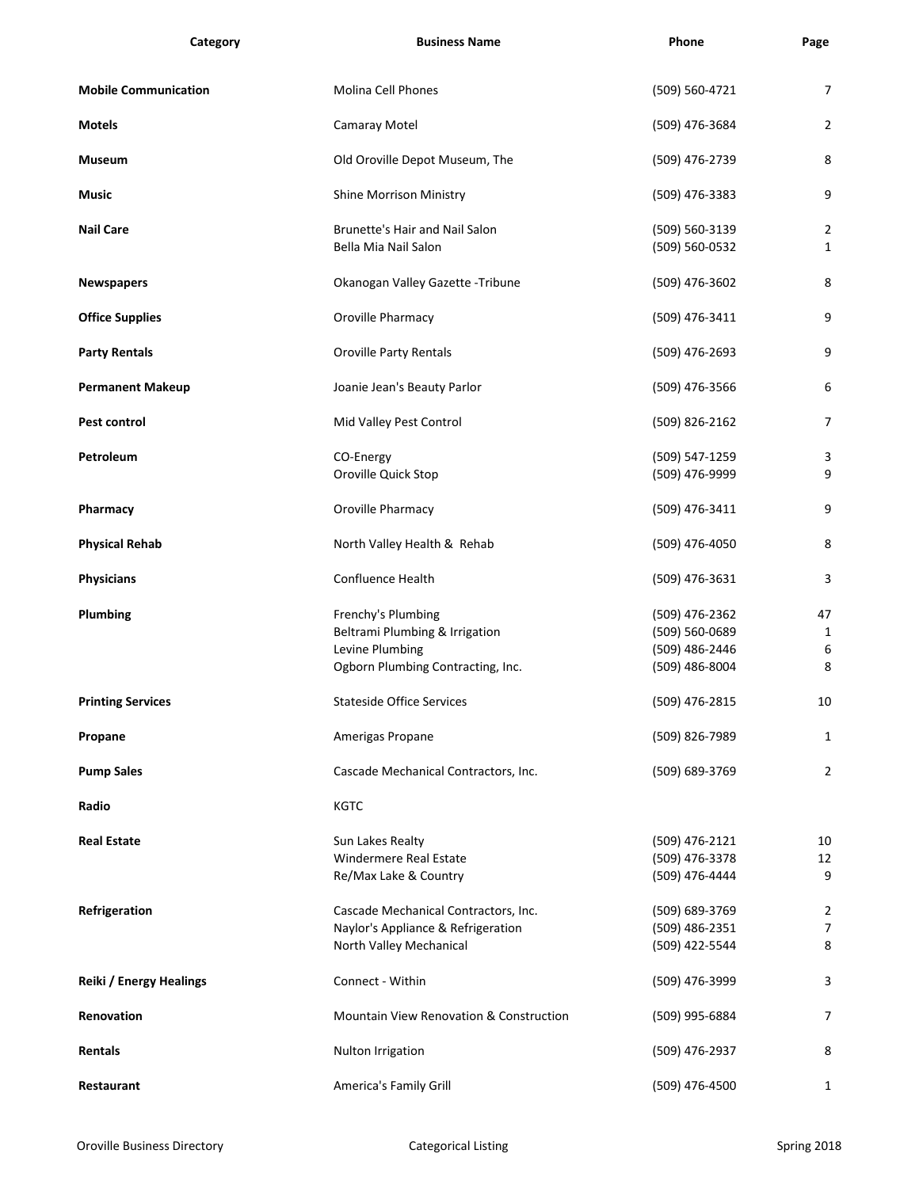| Category                       | <b>Business Name</b>                                                                                         | Phone                                                                | Page                         |
|--------------------------------|--------------------------------------------------------------------------------------------------------------|----------------------------------------------------------------------|------------------------------|
| <b>Mobile Communication</b>    | <b>Molina Cell Phones</b>                                                                                    | (509) 560-4721                                                       | $\overline{7}$               |
| <b>Motels</b>                  | <b>Camaray Motel</b>                                                                                         | (509) 476-3684                                                       | $\overline{2}$               |
| <b>Museum</b>                  | Old Oroville Depot Museum, The                                                                               | (509) 476-2739                                                       | 8                            |
| <b>Music</b>                   | <b>Shine Morrison Ministry</b>                                                                               | (509) 476-3383                                                       | 9                            |
| <b>Nail Care</b>               | <b>Brunette's Hair and Nail Salon</b><br>Bella Mia Nail Salon                                                | (509) 560-3139<br>(509) 560-0532                                     | $\overline{2}$<br>1          |
| <b>Newspapers</b>              | Okanogan Valley Gazette - Tribune                                                                            | (509) 476-3602                                                       | 8                            |
| <b>Office Supplies</b>         | Oroville Pharmacy                                                                                            | (509) 476-3411                                                       | 9                            |
| <b>Party Rentals</b>           | <b>Oroville Party Rentals</b>                                                                                | (509) 476-2693                                                       | 9                            |
| <b>Permanent Makeup</b>        | Joanie Jean's Beauty Parlor                                                                                  | (509) 476-3566                                                       | 6                            |
| <b>Pest control</b>            | Mid Valley Pest Control                                                                                      | (509) 826-2162                                                       | $\overline{7}$               |
| Petroleum                      | CO-Energy<br>Oroville Quick Stop                                                                             | (509) 547-1259<br>(509) 476-9999                                     | 3<br>9                       |
| Pharmacy                       | Oroville Pharmacy                                                                                            | (509) 476-3411                                                       | 9                            |
| <b>Physical Rehab</b>          | North Valley Health & Rehab                                                                                  | (509) 476-4050                                                       | 8                            |
| <b>Physicians</b>              | <b>Confluence Health</b>                                                                                     | (509) 476-3631                                                       | 3                            |
| Plumbing                       | Frenchy's Plumbing<br>Beltrami Plumbing & Irrigation<br>Levine Plumbing<br>Ogborn Plumbing Contracting, Inc. | (509) 476-2362<br>(509) 560-0689<br>(509) 486-2446<br>(509) 486-8004 | 47<br>$\mathbf{1}$<br>6<br>8 |
| <b>Printing Services</b>       | <b>Stateside Office Services</b>                                                                             | (509) 476-2815                                                       | 10                           |
| Propane                        | Amerigas Propane                                                                                             | (509) 826-7989                                                       | $\mathbf{1}$                 |
| <b>Pump Sales</b>              | Cascade Mechanical Contractors, Inc.                                                                         | (509) 689-3769                                                       | 2                            |
| Radio                          | <b>KGTC</b>                                                                                                  |                                                                      |                              |
| <b>Real Estate</b>             | Sun Lakes Realty<br><b>Windermere Real Estate</b><br>Re/Max Lake & Country                                   | (509) 476-2121<br>(509) 476-3378<br>(509) 476-4444                   | 10<br>12<br>9                |
| Refrigeration                  | Cascade Mechanical Contractors, Inc.<br>Naylor's Appliance & Refrigeration<br>North Valley Mechanical        | (509) 689-3769<br>(509) 486-2351<br>(509) 422-5544                   | 2<br>7<br>8                  |
| <b>Reiki / Energy Healings</b> | Connect - Within                                                                                             | (509) 476-3999                                                       | 3                            |
| Renovation                     | <b>Mountain View Renovation &amp; Construction</b>                                                           | (509) 995-6884                                                       | $\overline{7}$               |
| <b>Rentals</b>                 | Nulton Irrigation                                                                                            | (509) 476-2937                                                       | 8                            |
| Restaurant                     | America's Family Grill                                                                                       | (509) 476-4500                                                       | $\mathbf{1}$                 |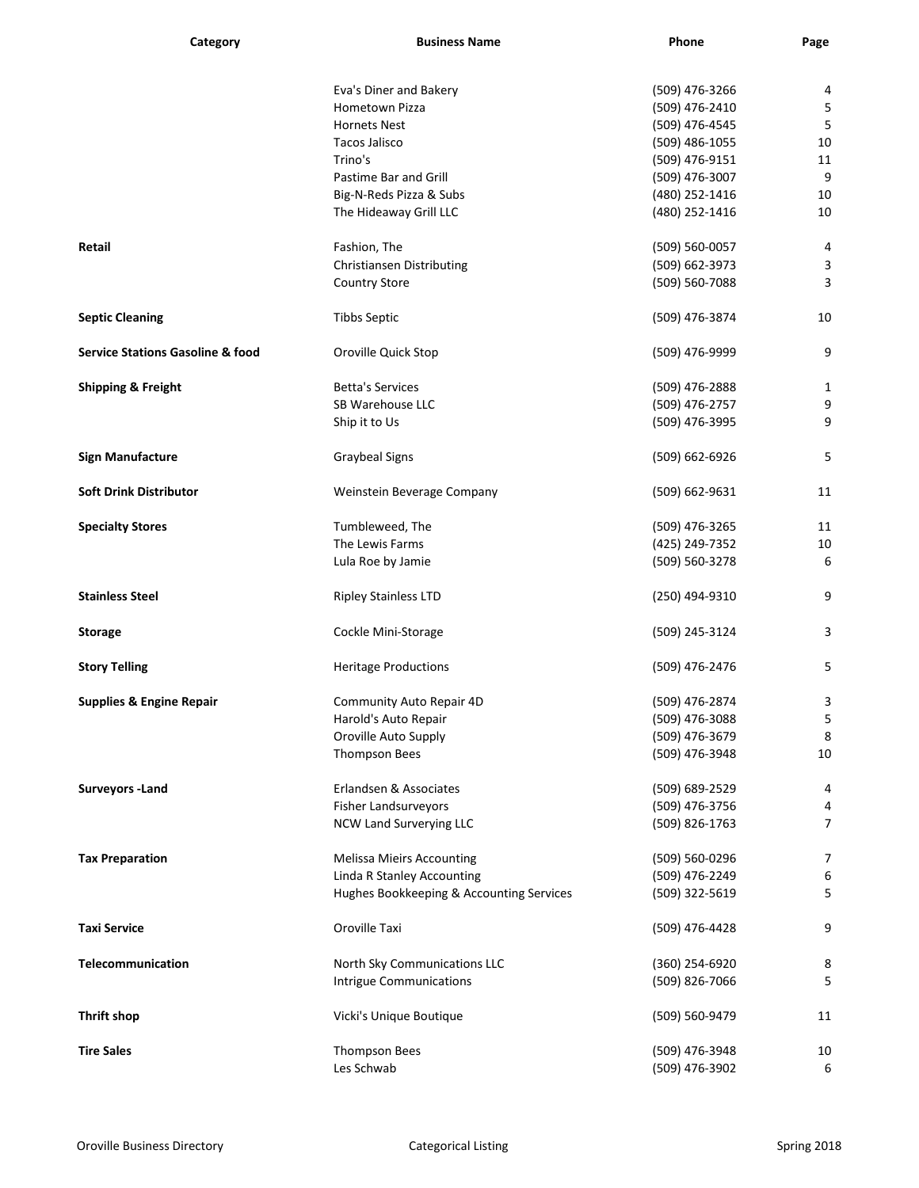| Category                                    | <b>Business Name</b>                     | Phone          | Page           |
|---------------------------------------------|------------------------------------------|----------------|----------------|
|                                             |                                          |                |                |
|                                             | Eva's Diner and Bakery                   | (509) 476-3266 | 4              |
|                                             | Hometown Pizza                           | (509) 476-2410 | 5              |
|                                             | <b>Hornets Nest</b>                      | (509) 476-4545 | 5              |
|                                             | <b>Tacos Jalisco</b>                     | (509) 486-1055 | 10             |
|                                             | Trino's                                  | (509) 476-9151 | 11             |
|                                             | Pastime Bar and Grill                    | (509) 476-3007 | 9              |
|                                             | Big-N-Reds Pizza & Subs                  | (480) 252-1416 | 10             |
|                                             | The Hideaway Grill LLC                   | (480) 252-1416 | 10             |
| Retail                                      | Fashion, The                             | (509) 560-0057 | 4              |
|                                             | <b>Christiansen Distributing</b>         | (509) 662-3973 | 3              |
|                                             | <b>Country Store</b>                     | (509) 560-7088 | 3              |
| <b>Septic Cleaning</b>                      | <b>Tibbs Septic</b>                      | (509) 476-3874 | 10             |
| <b>Service Stations Gasoline &amp; food</b> | Oroville Quick Stop                      | (509) 476-9999 | 9              |
| <b>Shipping &amp; Freight</b>               | <b>Betta's Services</b>                  | (509) 476-2888 | 1              |
|                                             | SB Warehouse LLC                         | (509) 476-2757 | 9              |
|                                             | Ship it to Us                            | (509) 476-3995 | 9              |
|                                             |                                          |                |                |
| <b>Sign Manufacture</b>                     | <b>Graybeal Signs</b>                    | (509) 662-6926 | 5              |
| <b>Soft Drink Distributor</b>               | Weinstein Beverage Company               | (509) 662-9631 | 11             |
| <b>Specialty Stores</b>                     | Tumbleweed, The                          | (509) 476-3265 | 11             |
|                                             | The Lewis Farms                          | (425) 249-7352 | 10             |
|                                             | Lula Roe by Jamie                        | (509) 560-3278 | 6              |
| <b>Stainless Steel</b>                      | <b>Ripley Stainless LTD</b>              | (250) 494-9310 | 9              |
| <b>Storage</b>                              | Cockle Mini-Storage                      | (509) 245-3124 | 3              |
| <b>Story Telling</b>                        | <b>Heritage Productions</b>              | (509) 476-2476 | 5              |
| <b>Supplies &amp; Engine Repair</b>         | <b>Community Auto Repair 4D</b>          | (509) 476-2874 | 3              |
|                                             | Harold's Auto Repair                     | (509) 476-3088 | 5              |
|                                             | Oroville Auto Supply                     | (509) 476-3679 | 8              |
|                                             | Thompson Bees                            | (509) 476-3948 | 10             |
| <b>Surveyors - Land</b>                     | Erlandsen & Associates                   | (509) 689-2529 | 4              |
|                                             | <b>Fisher Landsurveyors</b>              | (509) 476-3756 | 4              |
|                                             | <b>NCW Land Surverying LLC</b>           | (509) 826-1763 | $\overline{7}$ |
| <b>Tax Preparation</b>                      | <b>Melissa Mieirs Accounting</b>         | (509) 560-0296 | $\overline{7}$ |
|                                             | Linda R Stanley Accounting               | (509) 476-2249 | 6              |
|                                             | Hughes Bookkeeping & Accounting Services | (509) 322-5619 | 5              |
| <b>Taxi Service</b>                         | Oroville Taxi                            | (509) 476-4428 | 9              |
|                                             |                                          |                |                |
| Telecommunication                           | North Sky Communications LLC             | (360) 254-6920 | 8              |
|                                             | <b>Intrigue Communications</b>           | (509) 826-7066 | 5              |
| <b>Thrift shop</b>                          | Vicki's Unique Boutique                  | (509) 560-9479 | 11             |
| <b>Tire Sales</b>                           | Thompson Bees                            | (509) 476-3948 | 10             |
|                                             | Les Schwab                               | (509) 476-3902 | 6              |
|                                             |                                          |                |                |